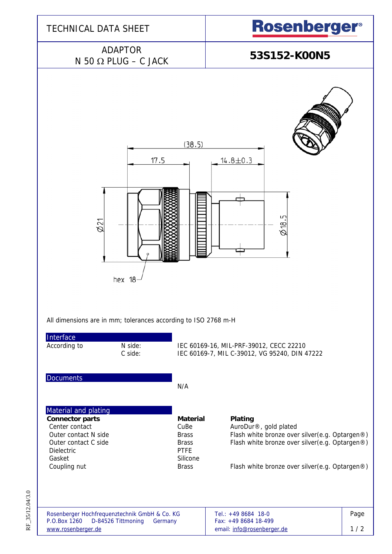

RF\_35/12.04/3.0 RF\_35/12.04/3.0